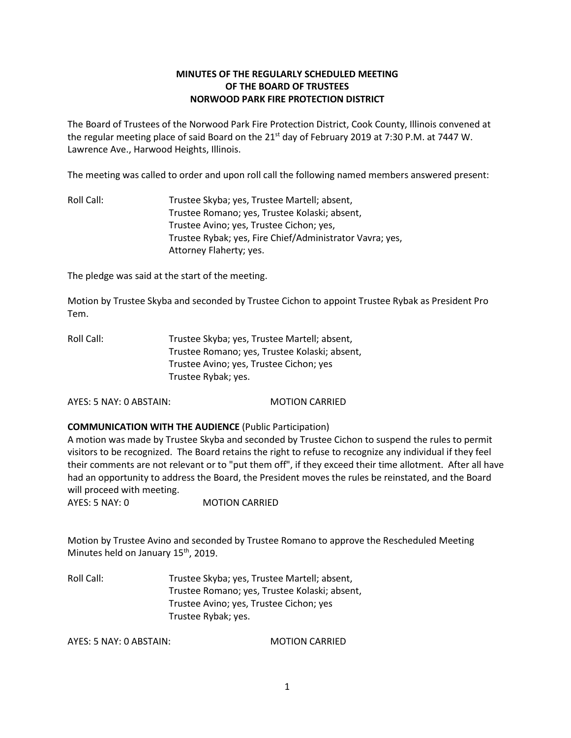# **MINUTES OF THE REGULARLY SCHEDULED MEETING OF THE BOARD OF TRUSTEES NORWOOD PARK FIRE PROTECTION DISTRICT**

The Board of Trustees of the Norwood Park Fire Protection District, Cook County, Illinois convened at the regular meeting place of said Board on the 21<sup>st</sup> day of February 2019 at 7:30 P.M. at 7447 W. Lawrence Ave., Harwood Heights, Illinois.

The meeting was called to order and upon roll call the following named members answered present:

Roll Call: Trustee Skyba; yes, Trustee Martell; absent, Trustee Romano; yes, Trustee Kolaski; absent, Trustee Avino; yes, Trustee Cichon; yes, Trustee Rybak; yes, Fire Chief/Administrator Vavra; yes, Attorney Flaherty; yes.

The pledge was said at the start of the meeting.

Motion by Trustee Skyba and seconded by Trustee Cichon to appoint Trustee Rybak as President Pro Tem.

Roll Call: Trustee Skyba; yes, Trustee Martell; absent, Trustee Romano; yes, Trustee Kolaski; absent, Trustee Avino; yes, Trustee Cichon; yes Trustee Rybak; yes.

AYES: 5 NAY: 0 ABSTAIN: MOTION CARRIED

**COMMUNICATION WITH THE AUDIENCE** (Public Participation)

A motion was made by Trustee Skyba and seconded by Trustee Cichon to suspend the rules to permit visitors to be recognized. The Board retains the right to refuse to recognize any individual if they feel their comments are not relevant or to "put them off", if they exceed their time allotment. After all have had an opportunity to address the Board, the President moves the rules be reinstated, and the Board will proceed with meeting.

AYES: 5 NAY: 0 MOTION CARRIED

Motion by Trustee Avino and seconded by Trustee Romano to approve the Rescheduled Meeting Minutes held on January 15<sup>th</sup>, 2019.

Roll Call: Trustee Skyba; yes, Trustee Martell; absent, Trustee Romano; yes, Trustee Kolaski; absent, Trustee Avino; yes, Trustee Cichon; yes Trustee Rybak; yes.

AYES: 5 NAY: 0 ABSTAIN: MOTION CARRIED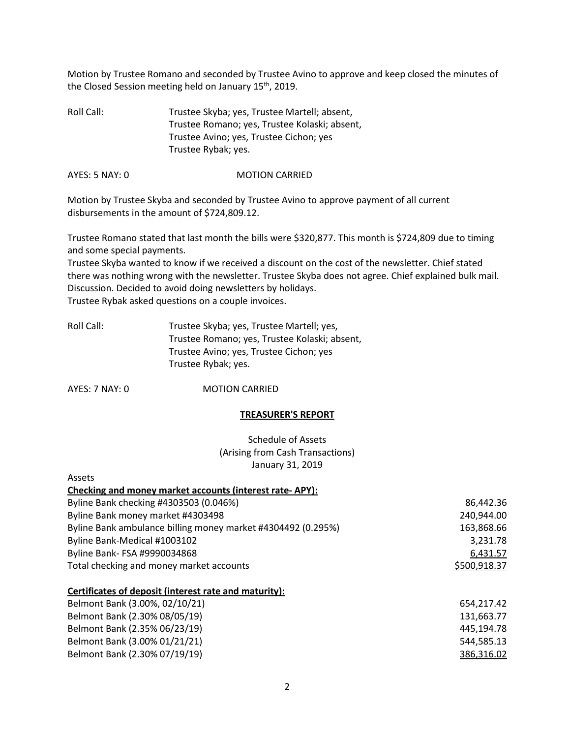Motion by Trustee Romano and seconded by Trustee Avino to approve and keep closed the minutes of the Closed Session meeting held on January 15<sup>th</sup>, 2019.

Roll Call: Trustee Skyba; yes, Trustee Martell; absent, Trustee Romano; yes, Trustee Kolaski; absent, Trustee Avino; yes, Trustee Cichon; yes Trustee Rybak; yes.

AYES: 5 NAY: 0 MOTION CARRIED

Motion by Trustee Skyba and seconded by Trustee Avino to approve payment of all current disbursements in the amount of \$724,809.12.

Trustee Romano stated that last month the bills were \$320,877. This month is \$724,809 due to timing and some special payments.

Trustee Skyba wanted to know if we received a discount on the cost of the newsletter. Chief stated there was nothing wrong with the newsletter. Trustee Skyba does not agree. Chief explained bulk mail. Discussion. Decided to avoid doing newsletters by holidays. Trustee Rybak asked questions on a couple invoices.

| Roll Call: | Trustee Skyba; yes, Trustee Martell; yes,     |
|------------|-----------------------------------------------|
|            | Trustee Romano; yes, Trustee Kolaski; absent, |
|            | Trustee Avino; yes, Trustee Cichon; yes       |
|            | Trustee Rybak; yes.                           |

AYES: 7 NAY: 0 MOTION CARRIED

**A**ccotc

### **TREASURER'S REPORT**

Schedule of Assets (Arising from Cash Transactions) January 31, 2019

| へいこしい                                                        |              |
|--------------------------------------------------------------|--------------|
| Checking and money market accounts (interest rate-APY):      |              |
| Byline Bank checking #4303503 (0.046%)                       | 86,442.36    |
| Byline Bank money market #4303498                            | 240,944.00   |
| Byline Bank ambulance billing money market #4304492 (0.295%) | 163,868.66   |
| Byline Bank-Medical #1003102                                 | 3,231.78     |
| Byline Bank- FSA #9990034868                                 | 6,431.57     |
| Total checking and money market accounts                     | \$500,918.37 |
| Certificates of deposit (interest rate and maturity):        |              |
| Belmont Bank (3.00%, 02/10/21)                               | 654,217.42   |
| Belmont Bank (2.30% 08/05/19)                                | 131,663.77   |
| Belmont Bank (2.35% 06/23/19)                                | 445,194.78   |
| Belmont Bank (3.00% 01/21/21)                                | 544,585.13   |
| Belmont Bank (2.30% 07/19/19)                                | 386,316.02   |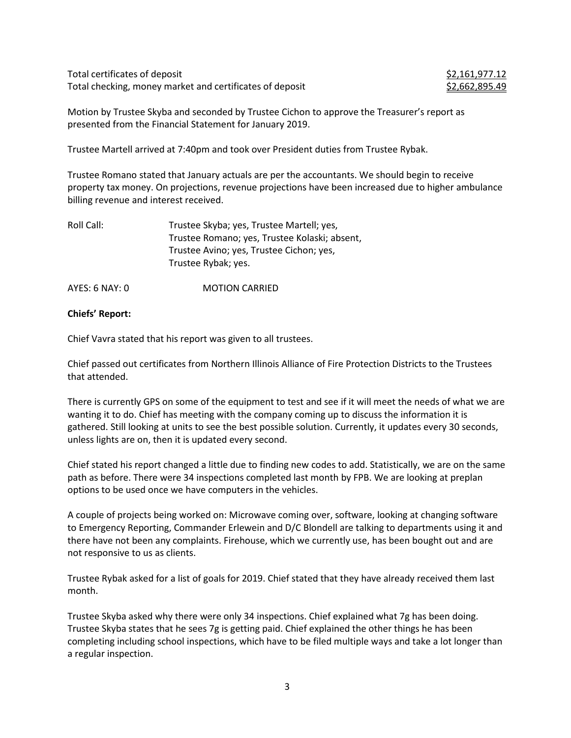Total certificates of deposit  $$2,161,977.12$ Total checking, money market and certificates of deposit  $$2,662,895.49$ 

Motion by Trustee Skyba and seconded by Trustee Cichon to approve the Treasurer's report as presented from the Financial Statement for January 2019.

Trustee Martell arrived at 7:40pm and took over President duties from Trustee Rybak.

Trustee Romano stated that January actuals are per the accountants. We should begin to receive property tax money. On projections, revenue projections have been increased due to higher ambulance billing revenue and interest received.

| Roll Call: | Trustee Skyba; yes, Trustee Martell; yes,     |
|------------|-----------------------------------------------|
|            | Trustee Romano; yes, Trustee Kolaski; absent, |
|            | Trustee Avino; yes, Trustee Cichon; yes,      |
|            | Trustee Rybak; yes.                           |
|            |                                               |

AYES: 6 NAY: 0 MOTION CARRIED

#### **Chiefs' Report:**

Chief Vavra stated that his report was given to all trustees.

Chief passed out certificates from Northern Illinois Alliance of Fire Protection Districts to the Trustees that attended.

There is currently GPS on some of the equipment to test and see if it will meet the needs of what we are wanting it to do. Chief has meeting with the company coming up to discuss the information it is gathered. Still looking at units to see the best possible solution. Currently, it updates every 30 seconds, unless lights are on, then it is updated every second.

Chief stated his report changed a little due to finding new codes to add. Statistically, we are on the same path as before. There were 34 inspections completed last month by FPB. We are looking at preplan options to be used once we have computers in the vehicles.

A couple of projects being worked on: Microwave coming over, software, looking at changing software to Emergency Reporting, Commander Erlewein and D/C Blondell are talking to departments using it and there have not been any complaints. Firehouse, which we currently use, has been bought out and are not responsive to us as clients.

Trustee Rybak asked for a list of goals for 2019. Chief stated that they have already received them last month.

Trustee Skyba asked why there were only 34 inspections. Chief explained what 7g has been doing. Trustee Skyba states that he sees 7g is getting paid. Chief explained the other things he has been completing including school inspections, which have to be filed multiple ways and take a lot longer than a regular inspection.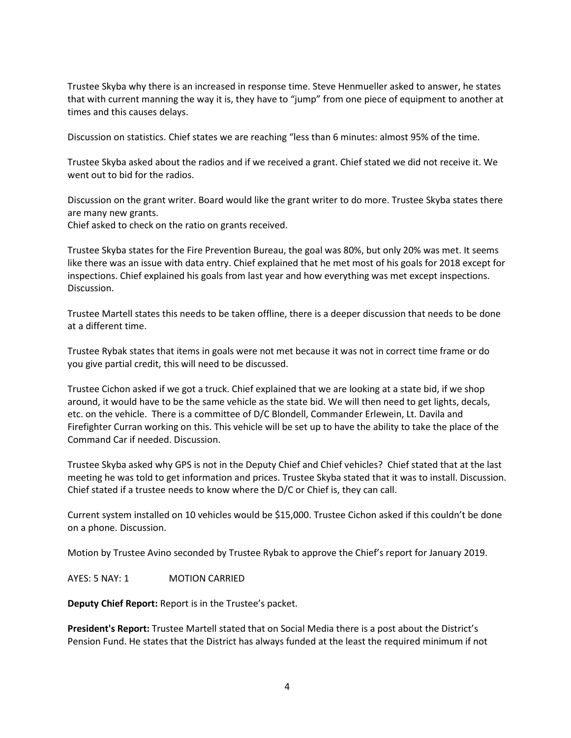Trustee Skyba why there is an increased in response time. Steve Henmueller asked to answer, he states that with current manning the way it is, they have to "jump" from one piece of equipment to another at times and this causes delays.

Discussion on statistics. Chief states we are reaching "less than 6 minutes: almost 95% of the time.

Trustee Skyba asked about the radios and if we received a grant. Chief stated we did not receive it. We went out to bid for the radios.

Discussion on the grant writer. Board would like the grant writer to do more. Trustee Skyba states there are many new grants.

Chief asked to check on the ratio on grants received.

Trustee Skyba states for the Fire Prevention Bureau, the goal was 80%, but only 20% was met. It seems like there was an issue with data entry. Chief explained that he met most of his goals for 2018 except for inspections. Chief explained his goals from last year and how everything was met except inspections. Discussion.

Trustee Martell states this needs to be taken offline, there is a deeper discussion that needs to be done at a different time.

Trustee Rybak states that items in goals were not met because it was not in correct time frame or do you give partial credit, this will need to be discussed.

Trustee Cichon asked if we got a truck. Chief explained that we are looking at a state bid, if we shop around, it would have to be the same vehicle as the state bid. We will then need to get lights, decals, etc. on the vehicle. There is a committee of D/C Blondell, Commander Erlewein, Lt. Davila and Firefighter Curran working on this. This vehicle will be set up to have the ability to take the place of the Command Car if needed. Discussion.

Trustee Skyba asked why GPS is not in the Deputy Chief and Chief vehicles? Chief stated that at the last meeting he was told to get information and prices. Trustee Skyba stated that it was to install. Discussion. Chief stated if a trustee needs to know where the D/C or Chief is, they can call.

Current system installed on 10 vehicles would be \$15,000. Trustee Cichon asked if this couldn't be done on a phone. Discussion.

Motion by Trustee Avino seconded by Trustee Rybak to approve the Chief's report for January 2019.

AYES: 5 NAY: 1 MOTION CARRIED

**Deputy Chief Report:** Report is in the Trustee's packet.

**President's Report:** Trustee Martell stated that on Social Media there is a post about the District's Pension Fund. He states that the District has always funded at the least the required minimum if not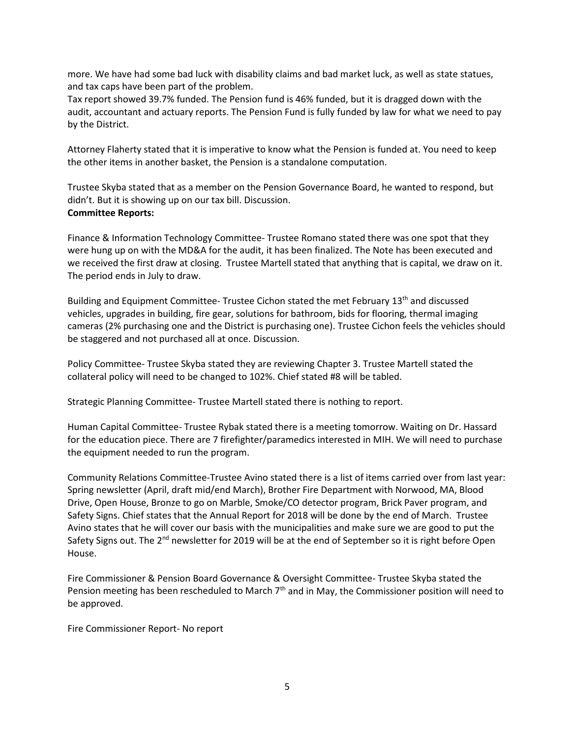more. We have had some bad luck with disability claims and bad market luck, as well as state statues, and tax caps have been part of the problem.

Tax report showed 39.7% funded. The Pension fund is 46% funded, but it is dragged down with the audit, accountant and actuary reports. The Pension Fund is fully funded by law for what we need to pay by the District.

Attorney Flaherty stated that it is imperative to know what the Pension is funded at. You need to keep the other items in another basket, the Pension is a standalone computation.

Trustee Skyba stated that as a member on the Pension Governance Board, he wanted to respond, but didn't. But it is showing up on our tax bill. Discussion. **Committee Reports:**

Finance & Information Technology Committee- Trustee Romano stated there was one spot that they were hung up on with the MD&A for the audit, it has been finalized. The Note has been executed and we received the first draw at closing. Trustee Martell stated that anything that is capital, we draw on it. The period ends in July to draw.

Building and Equipment Committee- Trustee Cichon stated the met February 13<sup>th</sup> and discussed vehicles, upgrades in building, fire gear, solutions for bathroom, bids for flooring, thermal imaging cameras (2% purchasing one and the District is purchasing one). Trustee Cichon feels the vehicles should be staggered and not purchased all at once. Discussion.

Policy Committee- Trustee Skyba stated they are reviewing Chapter 3. Trustee Martell stated the collateral policy will need to be changed to 102%. Chief stated #8 will be tabled.

Strategic Planning Committee- Trustee Martell stated there is nothing to report.

Human Capital Committee- Trustee Rybak stated there is a meeting tomorrow. Waiting on Dr. Hassard for the education piece. There are 7 firefighter/paramedics interested in MIH. We will need to purchase the equipment needed to run the program.

Community Relations Committee-Trustee Avino stated there is a list of items carried over from last year: Spring newsletter (April, draft mid/end March), Brother Fire Department with Norwood, MA, Blood Drive, Open House, Bronze to go on Marble, Smoke/CO detector program, Brick Paver program, and Safety Signs. Chief states that the Annual Report for 2018 will be done by the end of March. Trustee Avino states that he will cover our basis with the municipalities and make sure we are good to put the Safety Signs out. The 2<sup>nd</sup> newsletter for 2019 will be at the end of September so it is right before Open House.

Fire Commissioner & Pension Board Governance & Oversight Committee- Trustee Skyba stated the Pension meeting has been rescheduled to March  $7<sup>th</sup>$  and in May, the Commissioner position will need to be approved.

Fire Commissioner Report- No report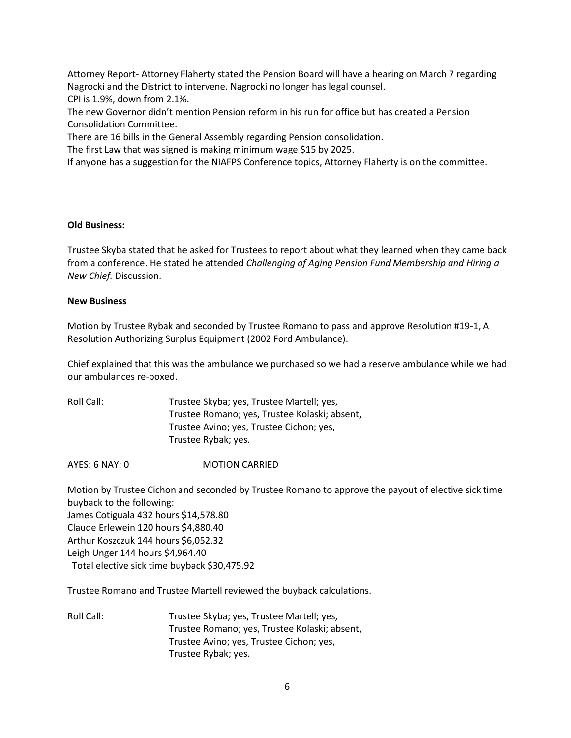Attorney Report- Attorney Flaherty stated the Pension Board will have a hearing on March 7 regarding Nagrocki and the District to intervene. Nagrocki no longer has legal counsel. CPI is 1.9%, down from 2.1%.

The new Governor didn't mention Pension reform in his run for office but has created a Pension Consolidation Committee.

There are 16 bills in the General Assembly regarding Pension consolidation.

The first Law that was signed is making minimum wage \$15 by 2025.

If anyone has a suggestion for the NIAFPS Conference topics, Attorney Flaherty is on the committee.

### **Old Business:**

Trustee Skyba stated that he asked for Trustees to report about what they learned when they came back from a conference. He stated he attended *Challenging of Aging Pension Fund Membership and Hiring a New Chief.* Discussion.

## **New Business**

Motion by Trustee Rybak and seconded by Trustee Romano to pass and approve Resolution #19-1, A Resolution Authorizing Surplus Equipment (2002 Ford Ambulance).

Chief explained that this was the ambulance we purchased so we had a reserve ambulance while we had our ambulances re-boxed.

Roll Call: Trustee Skyba; yes, Trustee Martell; yes, Trustee Romano; yes, Trustee Kolaski; absent, Trustee Avino; yes, Trustee Cichon; yes, Trustee Rybak; yes.

AYES: 6 NAY: 0 MOTION CARRIED

Motion by Trustee Cichon and seconded by Trustee Romano to approve the payout of elective sick time buyback to the following: James Cotiguala 432 hours \$14,578.80 Claude Erlewein 120 hours \$4,880.40 Arthur Koszczuk 144 hours \$6,052.32 Leigh Unger 144 hours \$4,964.40 Total elective sick time buyback \$30,475.92

Trustee Romano and Trustee Martell reviewed the buyback calculations.

Roll Call: Trustee Skyba; yes, Trustee Martell; yes, Trustee Romano; yes, Trustee Kolaski; absent, Trustee Avino; yes, Trustee Cichon; yes, Trustee Rybak; yes.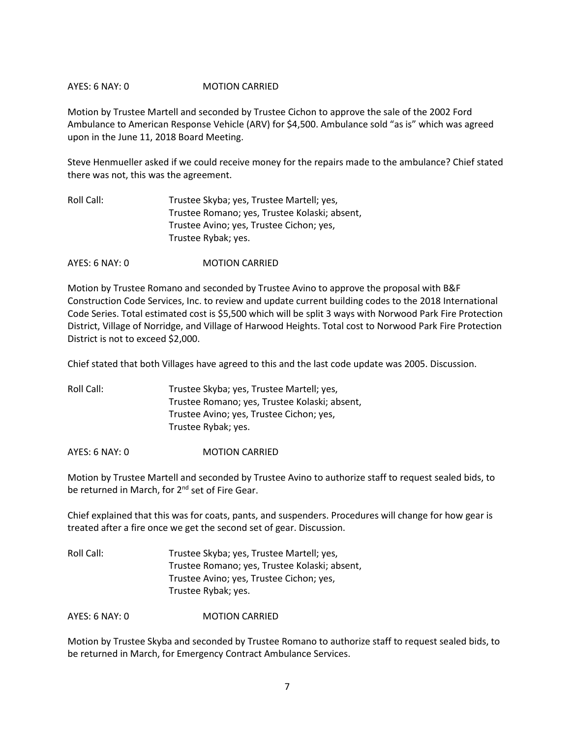## AYES: 6 NAY: 0 MOTION CARRIED

Motion by Trustee Martell and seconded by Trustee Cichon to approve the sale of the 2002 Ford Ambulance to American Response Vehicle (ARV) for \$4,500. Ambulance sold "as is" which was agreed upon in the June 11, 2018 Board Meeting.

Steve Henmueller asked if we could receive money for the repairs made to the ambulance? Chief stated there was not, this was the agreement.

| Roll Call: | Trustee Skyba; yes, Trustee Martell; yes,     |
|------------|-----------------------------------------------|
|            | Trustee Romano; yes, Trustee Kolaski; absent, |
|            | Trustee Avino; yes, Trustee Cichon; yes,      |
|            | Trustee Rybak; yes.                           |

AYES: 6 NAY: 0 MOTION CARRIED

Motion by Trustee Romano and seconded by Trustee Avino to approve the proposal with B&F Construction Code Services, Inc. to review and update current building codes to the 2018 International Code Series. Total estimated cost is \$5,500 which will be split 3 ways with Norwood Park Fire Protection District, Village of Norridge, and Village of Harwood Heights. Total cost to Norwood Park Fire Protection District is not to exceed \$2,000.

Chief stated that both Villages have agreed to this and the last code update was 2005. Discussion.

Roll Call: Trustee Skyba; yes, Trustee Martell; yes, Trustee Romano; yes, Trustee Kolaski; absent, Trustee Avino; yes, Trustee Cichon; yes, Trustee Rybak; yes.

AYES: 6 NAY: 0 MOTION CARRIED

Motion by Trustee Martell and seconded by Trustee Avino to authorize staff to request sealed bids, to be returned in March, for 2<sup>nd</sup> set of Fire Gear.

Chief explained that this was for coats, pants, and suspenders. Procedures will change for how gear is treated after a fire once we get the second set of gear. Discussion.

Roll Call: Trustee Skyba; yes, Trustee Martell; yes, Trustee Romano; yes, Trustee Kolaski; absent, Trustee Avino; yes, Trustee Cichon; yes, Trustee Rybak; yes.

AYES: 6 NAY: 0 MOTION CARRIED

Motion by Trustee Skyba and seconded by Trustee Romano to authorize staff to request sealed bids, to be returned in March, for Emergency Contract Ambulance Services.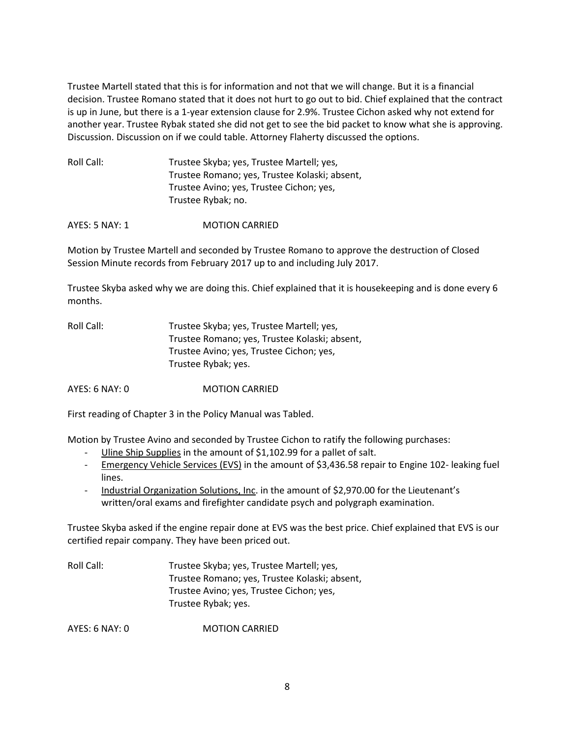Trustee Martell stated that this is for information and not that we will change. But it is a financial decision. Trustee Romano stated that it does not hurt to go out to bid. Chief explained that the contract is up in June, but there is a 1-year extension clause for 2.9%. Trustee Cichon asked why not extend for another year. Trustee Rybak stated she did not get to see the bid packet to know what she is approving. Discussion. Discussion on if we could table. Attorney Flaherty discussed the options.

| Roll Call: | Trustee Skyba; yes, Trustee Martell; yes,     |
|------------|-----------------------------------------------|
|            | Trustee Romano; yes, Trustee Kolaski; absent, |
|            | Trustee Avino; yes, Trustee Cichon; yes,      |
|            | Trustee Rybak; no.                            |

AYES: 5 NAY: 1 **MOTION CARRIED** 

Motion by Trustee Martell and seconded by Trustee Romano to approve the destruction of Closed Session Minute records from February 2017 up to and including July 2017.

Trustee Skyba asked why we are doing this. Chief explained that it is housekeeping and is done every 6 months.

| Roll Call: | Trustee Skyba; yes, Trustee Martell; yes,     |
|------------|-----------------------------------------------|
|            | Trustee Romano; yes, Trustee Kolaski; absent, |
|            | Trustee Avino; yes, Trustee Cichon; yes,      |
|            | Trustee Rybak; yes.                           |

AYES: 6 NAY: 0 MOTION CARRIED

First reading of Chapter 3 in the Policy Manual was Tabled.

Motion by Trustee Avino and seconded by Trustee Cichon to ratify the following purchases:

- Uline Ship Supplies in the amount of \$1,102.99 for a pallet of salt.
- Emergency Vehicle Services (EVS) in the amount of \$3,436.58 repair to Engine 102-leaking fuel lines.
- Industrial Organization Solutions, Inc. in the amount of \$2,970.00 for the Lieutenant's written/oral exams and firefighter candidate psych and polygraph examination.

Trustee Skyba asked if the engine repair done at EVS was the best price. Chief explained that EVS is our certified repair company. They have been priced out.

Roll Call: Trustee Skyba; yes, Trustee Martell; yes, Trustee Romano; yes, Trustee Kolaski; absent, Trustee Avino; yes, Trustee Cichon; yes, Trustee Rybak; yes.

AYES: 6 NAY: 0 MOTION CARRIED